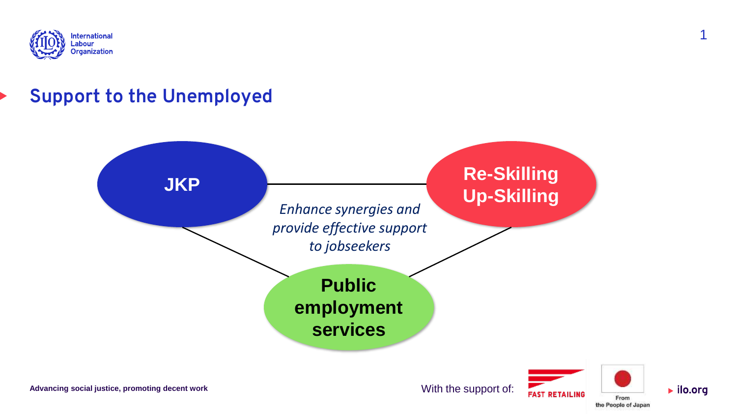

# **Support to the Unemployed**



With the support of:



 $\blacktriangleright$  ilo.org

1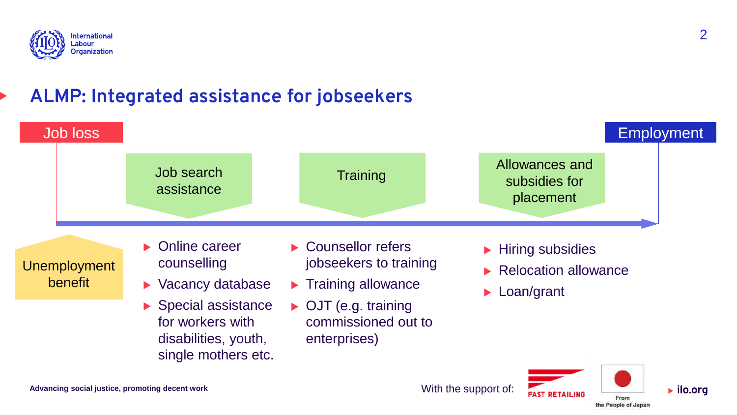

## **ALMP: Integrated assistance for jobseekers**



With the support of:



 $\blacktriangleright$  ilo.org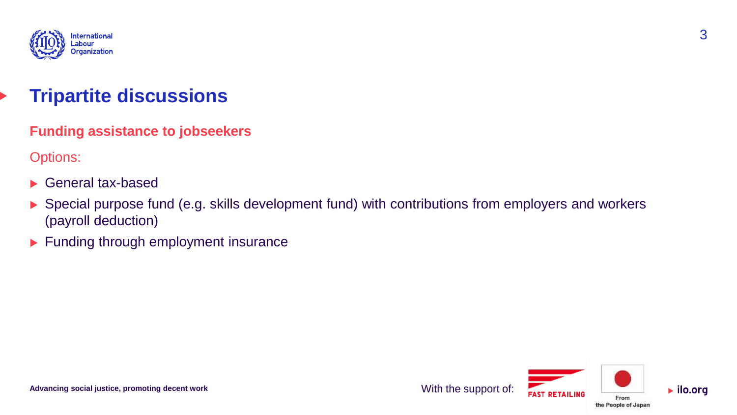

## **Tripartite discussions**

**Funding assistance to jobseekers**

Options:

- General tax-based
- ▶ Special purpose fund (e.g. skills development fund) with contributions from employers and workers (payroll deduction)
- Funding through employment insurance



 $\blacktriangleright$  ilo.org